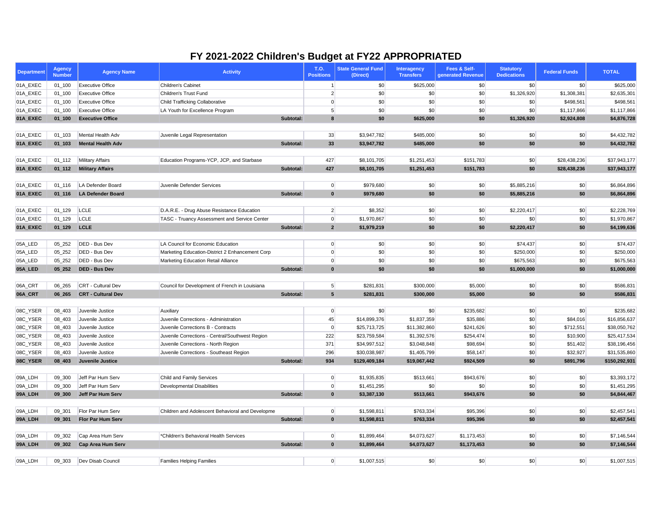| <b>Department</b> | <b>Agency</b><br><b>Number</b> | <b>Agency Name</b>               | <b>Activity</b>                                  | <b>T.O.</b><br><b>Positions</b> | <b>State General Fund</b><br>(Direct) | <b>Interagency</b><br><b>Transfers</b> | Fees & Self-<br>generated Revenue | <b>Statutory</b><br><b>Dedications</b> | <b>Federal Funds</b> | <b>TOTAL</b>  |
|-------------------|--------------------------------|----------------------------------|--------------------------------------------------|---------------------------------|---------------------------------------|----------------------------------------|-----------------------------------|----------------------------------------|----------------------|---------------|
| 01A_EXEC          | $01 - 100$                     | <b>Executive Office</b>          | Children's Cabinet                               |                                 | \$0                                   | \$625,000                              | \$0                               | \$0                                    | \$0                  | \$625,000     |
| 01A_EXEC          | $01_100$                       | <b>Executive Office</b>          | Children's Trust Fund                            |                                 | \$0                                   | \$0                                    | \$0                               | \$1,326,920                            | \$1,308,381          | \$2,635,301   |
| 01A_EXEC          | $01_100$                       | <b>Executive Office</b>          | <b>Child Trafficking Collaborative</b>           | $\overline{0}$                  | \$0                                   | \$0                                    | \$0                               | \$0                                    | \$498,561            | \$498,561     |
| 01A_EXEC          | $01 - 100$                     | <b>Executive Office</b>          | LA Youth for Excellence Program                  | 5 <sup>5</sup>                  | \$0                                   | \$0                                    | \$0                               | \$0                                    | \$1,117,866          | \$1,117,866   |
| 01A_EXEC          | $01 - 100$                     | <b>Executive Office</b>          | Subtotal:                                        | $\boldsymbol{8}$                | \$0                                   | \$625,000                              | \$0                               | \$1,326,920                            | \$2,924,808          | \$4,876,728   |
|                   |                                |                                  |                                                  |                                 |                                       |                                        |                                   |                                        |                      |               |
| 01A_EXEC          | $01_{-}103$                    | Mental Health Adv                | Juvenile Legal Representation                    | 33                              | \$3,947,782                           | \$485,000                              | \$0                               | \$0                                    | \$0                  | \$4,432,782   |
| 01A_EXEC          | $01 - 103$                     | <b>Mental Health Adv</b>         | Subtotal:                                        | 33                              | \$3,947,782                           | \$485,000                              | \$0                               | \$0                                    | \$0                  | \$4,432,782   |
|                   |                                |                                  |                                                  |                                 |                                       |                                        |                                   |                                        |                      |               |
| 01A_EXEC          | $01 - 112$                     | <b>Military Affairs</b>          | Education Programs-YCP, JCP, and Starbase        | 427                             | \$8,101,705                           | \$1,251,453                            | \$151,783                         | \$0                                    | \$28,438,236         | \$37,943,177  |
| 01A_EXEC          | $01_112$                       | <b>Military Affairs</b>          | Subtotal:                                        | 427                             | \$8,101,705                           | \$1,251,453                            | \$151,783                         | \$0                                    | \$28,438,236         | \$37,943,177  |
|                   |                                |                                  |                                                  |                                 |                                       |                                        |                                   |                                        |                      |               |
| 01A_EXEC          | $01 - 116$                     | LA Defender Board                | Juvenile Defender Services                       | 0                               | \$979,680                             | $ 10\rangle$                           | $ 10\rangle$                      | \$5,885,216                            | \$0                  | \$6,864,896   |
| 01A_EXEC          | $01 - 116$                     | <b>LA Defender Board</b>         | Subtotal:                                        | $\mathbf{0}$                    | \$979,680                             | \$0                                    | \$0                               | \$5,885,216                            | \$0                  | \$6,864,896   |
|                   |                                |                                  |                                                  |                                 |                                       |                                        |                                   |                                        |                      |               |
| 01A_EXEC          | $01 - 129$                     | <b>LCLE</b>                      | D.A.R.E. - Drug Abuse Resistance Education       |                                 | $2\vert$<br>\$8,352                   | \$0                                    | \$0                               | \$2,220,417                            | \$0                  | \$2,228,769   |
| 01A_EXEC          | $01 - 129$                     | LCLE                             | TASC - Truancy Assessment and Service Center     | 0                               | \$1,970,867                           | $ 10\rangle$                           | \$0                               | \$0                                    | \$0                  | \$1,970,867   |
| 01A_EXEC          | $01_129$                       | <b>LCLE</b>                      | Subtotal:                                        | $\overline{2}$                  | \$1,979,219                           | \$0                                    | \$0                               | \$2,220,417                            | \$0                  | \$4,199,636   |
|                   |                                |                                  |                                                  |                                 |                                       |                                        |                                   |                                        |                      |               |
| 05A_LED           | 05 252                         | DED - Bus Dev                    | LA Council for Economic Education                | 0                               | \$0                                   | \$0                                    | \$0                               | \$74,437                               | \$0                  | \$74,437      |
| 05A_LED           | 05_252                         | DED - Bus Dev                    | Marketing Education-District 2 Enhancement Corp  | $\overline{0}$                  | \$0                                   | \$0                                    | \$0                               | \$250,000                              | \$0                  | \$250,000     |
| 05A_LED           | 05_252                         | DED - Bus Dev                    | <b>Marketing Education Retail Alliance</b>       | 0                               | \$0                                   | \$0                                    | \$0                               | \$675,563                              | \$0                  | \$675,563     |
| 05A_LED           | 05 252                         | <b>DED - Bus Dev</b>             | Subtotal:                                        | $\mathbf{0}$                    | \$0                                   | \$0                                    | \$0                               | \$1,000,000                            | \$0                  | \$1,000,000   |
|                   |                                |                                  |                                                  |                                 |                                       |                                        |                                   |                                        |                      |               |
| 06A_CRT           | 06_265                         | CRT - Cultural Dev               | Council for Development of French in Louisiana   |                                 | 5 <sup>2</sup><br>\$281,831           | \$300,000                              | \$5,000                           | \$0                                    | \$0                  | \$586,831     |
| 06A_CRT           | 06 265                         | <b>CRT - Cultural Dev</b>        | Subtotal:                                        | 5 <sub>5</sub>                  | \$281,831                             | \$300,000                              | \$5,000                           | \$0                                    | \$0                  | \$586,831     |
|                   |                                |                                  |                                                  |                                 |                                       |                                        |                                   |                                        |                      |               |
|                   |                                | 08C_YSER 08_403 Juvenile Justice | Auxiliary                                        | 0                               | \$0                                   | $\boldsymbol{\mathsf{S}}$              | \$235,682                         | \$0                                    | \$0                  | \$235,682     |
| 08C_YSER          | 08_403                         | Juvenile Justice                 | Juvenile Corrections - Administration            | 45                              | \$14,899,376                          | \$1,837,359                            | \$35,886                          | \$0                                    | \$84,016             | \$16,856,637  |
| 08C_YSER          | 08_403                         | Juvenile Justice                 | Juvenile Corrections B - Contracts               | 0                               | \$25,713,725                          | \$11,382,860                           | \$241,626                         | \$0                                    | \$712,551            | \$38,050,762  |
| 08C_YSER          | 08_403                         | Juvenile Justice                 | Juvenile Corrections - Central/Southwest Region  | 222                             | \$23,759,584                          | \$1,392,576                            | \$254,474                         | \$0                                    | \$10,900             | \$25,417,534  |
| 08C_YSER          | 08_403                         | Juvenile Justice                 | Juvenile Corrections - North Region              | 371                             | \$34,997,512                          | \$3,048,848                            | \$98,694                          | \$0                                    | \$51,402             | \$38,196,456  |
| 08C_YSER          | 08_403                         | Juvenile Justice                 | Juvenile Corrections - Southeast Region          | 296                             | \$30,038,987                          | \$1,405,799                            | \$58,147                          | \$0                                    | \$32,927             | \$31,535,860  |
| 08C_YSER          | 08_403                         | Juvenile Justice                 | Subtotal:                                        | 934                             | \$129,409,184                         | \$19,067,442                           | \$924,509                         | \$0                                    | \$891,796            | \$150,292,931 |
|                   |                                |                                  |                                                  |                                 |                                       |                                        |                                   |                                        |                      |               |
| 09A_LDH           | 09_300                         | Jeff Par Hum Serv                | Child and Family Services                        | 0                               | \$1,935,835                           | \$513,661                              | \$943,676                         | \$0                                    | \$0                  | \$3,393,172   |
| 09A_LDH           | 09_300                         | Jeff Par Hum Serv                | Developmental Disabilities                       | 0                               | \$1,451,295                           | $ $ \$0                                | \$0                               | \$0                                    | \$0                  | \$1,451,295   |
| 09A_LDH           | 09_300                         | Jeff Par Hum Serv                | Subtotal:                                        | $\mathbf{0}$                    | \$3,387,130                           | \$513,661                              | \$943,676                         | \$0                                    | \$0                  | \$4,844,467   |
|                   |                                |                                  |                                                  |                                 |                                       |                                        |                                   |                                        |                      |               |
| 09A_LDH           | 09_301                         | Flor Par Hum Serv                | Children and Adolescent Behavioral and Developme |                                 | 0 <br>\$1,598,811                     | \$763,334                              | \$95,396                          | \$0                                    | \$0                  | \$2,457,541   |
| 09A_LDH           | 09_301                         | Flor Par Hum Serv                | Subtotal:                                        | $\mathbf{0}$                    | \$1,598,811                           | \$763,334                              | \$95,396                          | \$0                                    | \$0                  | \$2,457,541   |
|                   |                                |                                  |                                                  |                                 |                                       |                                        |                                   |                                        |                      |               |
| 09A_LDH           | 09_302                         | Cap Area Hum Serv                | *Children's Behavioral Health Services           |                                 | 0 <br>\$1,899,464                     | \$4,073,627                            | \$1,173,453                       | \$0                                    | \$0                  | \$7,146,544   |
| 09A_LDH           | 09_302                         | <b>Cap Area Hum Serv</b>         | Subtotal:                                        | $\mathbf{0}$                    | \$1,899,464                           | \$4,073,627                            | \$1,173,453                       | \$0                                    | \$0                  | \$7,146,544   |
|                   |                                |                                  |                                                  |                                 |                                       |                                        |                                   |                                        |                      |               |
| 09A_LDH           | 09 303                         | Dev Disab Council                | <b>Families Helping Families</b>                 | 0                               | \$1,007,515                           | $ 10\rangle$                           | $ $ \$0                           | \$0                                    | \$0                  | \$1,007,515   |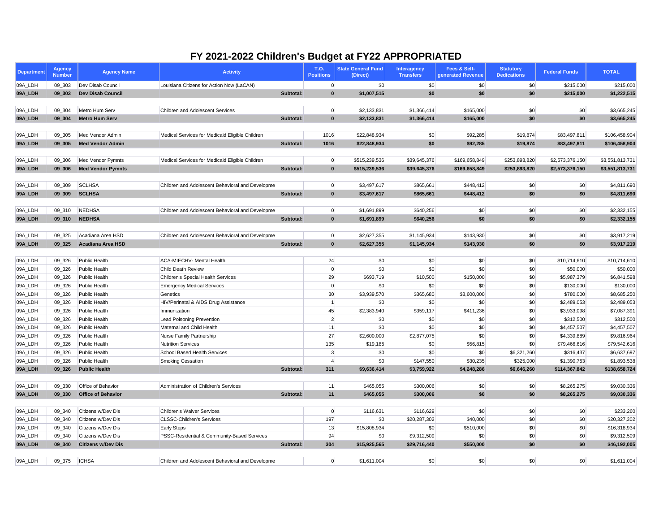| <b>Department</b> | <b>Agency</b><br><b>Number</b> | <b>Agency Name</b>        | <b>Activity</b>                                  | T.O.<br><b>Positions</b> | <b>State General Fund</b><br>(Direct) | <b>Interagency</b><br><b>Transfers</b> | Fees & Self-<br>generated Revenue | <b>Statutory</b><br><b>Dedications</b> | <b>Federal Funds</b> | <b>TOTAL</b>    |
|-------------------|--------------------------------|---------------------------|--------------------------------------------------|--------------------------|---------------------------------------|----------------------------------------|-----------------------------------|----------------------------------------|----------------------|-----------------|
| 09A_LDH           | 09_303                         | Dev Disab Council         | Louisiana Citizens for Action Now (LaCAN)        |                          | \$0<br> 0                             | \$0                                    | \$0                               | \$0                                    | \$215,000            | \$215,000       |
| 09A_LDH           | 09 303                         | <b>Dev Disab Council</b>  | Subtotal:                                        |                          | \$1,007,515<br>$\bf{0}$               | \$0                                    | \$0                               | \$0                                    | \$215,000            | \$1,222,515     |
|                   |                                |                           |                                                  |                          |                                       |                                        |                                   |                                        |                      |                 |
| 09A_LDH           | 09_304                         | Metro Hum Serv            | Children and Adolescent Services                 |                          | 0 <br>\$2,133,831                     | \$1,366,414                            | \$165,000                         | \$0                                    | \$0                  | \$3,665,245     |
| 09A_LDH           | 09 304                         | <b>Metro Hum Serv</b>     | Subtotal:                                        |                          | $\mathbf{0}$<br>\$2,133,831           | \$1,366,414                            | \$165,000                         | \$0                                    | \$0                  | \$3,665,245     |
|                   |                                |                           |                                                  |                          |                                       |                                        |                                   |                                        |                      |                 |
| 09A_LDH           | 09 305                         | Med Vendor Admin          | Medical Services for Medicaid Eligible Children  | 1016                     | \$22,848,934                          | $ 10\rangle$                           | \$92,285                          | \$19,874                               | \$83,497,811         | \$106,458,904   |
| 09A_LDH           | 09_305                         | <b>Med Vendor Admin</b>   | Subtotal:                                        | 1016                     | \$22,848,934                          | \$0                                    | \$92,285                          | \$19,874                               | \$83,497,811         | \$106,458,904   |
|                   |                                |                           |                                                  |                          |                                       |                                        |                                   |                                        |                      |                 |
| 09A_LDH           | 09 306                         | Med Vendor Pymnts         | Medical Services for Medicaid Eligible Children  |                          | 0 <br>\$515,239,536                   | \$39,645,376                           | \$169,658,849                     | \$253,893,820                          | \$2,573,376,150      | \$3,551,813,731 |
| 09A_LDH           | 09_306                         | <b>Med Vendor Pymnts</b>  | Subtotal:                                        |                          | $\mathbf{0}$<br>\$515,239,536         | \$39,645,376                           | \$169,658,849                     | \$253,893,820                          | \$2,573,376,150      | \$3,551,813,731 |
|                   |                                |                           |                                                  |                          |                                       |                                        |                                   |                                        |                      |                 |
| 09A_LDH           | 09 309                         | <b>SCLHSA</b>             | Children and Adolescent Behavioral and Developme |                          | 0 <br>\$3,497,617                     | \$865,661                              | \$448,412                         | \$0                                    | \$0                  | \$4,811,690     |
| 09A_LDH           | 09_309                         | <b>SCLHSA</b>             | Subtotal:                                        |                          | $\mathbf{0}$<br>\$3,497,617           | \$865,661                              | \$448,412                         | \$0                                    | \$0                  | \$4,811,690     |
|                   |                                |                           |                                                  |                          |                                       |                                        |                                   |                                        |                      |                 |
| 09A_LDH           | 09_310                         | NEDHSA                    | Children and Adolescent Behavioral and Developme |                          | 0 <br>\$1,691,899                     | \$640,256                              | \$0                               | \$0                                    | \$0                  | \$2,332,155     |
| 09A_LDH           | 09_310                         | <b>NEDHSA</b>             | Subtotal:                                        |                          | $\mathbf{0}$<br>\$1,691,899           | \$640,256                              | \$0                               | \$0                                    | \$0                  | \$2,332,155     |
|                   |                                |                           |                                                  |                          |                                       |                                        |                                   |                                        |                      |                 |
| 09A_LDH           | 09_325                         | Acadiana Area HSD         | Children and Adolescent Behavioral and Developme |                          | 0 <br>\$2,627,355                     | \$1,145,934                            | \$143,930                         | \$0                                    | \$0                  | \$3,917,219     |
| 09A_LDH           | 09 325                         | <b>Acadiana Area HSD</b>  | Subtotal:                                        |                          | $\mathbf{0}$<br>\$2,627,355           | \$1,145,934                            | \$143,930                         | \$0                                    | \$0                  | \$3,917,219     |
|                   |                                |                           |                                                  |                          |                                       |                                        |                                   |                                        |                      |                 |
| 09A_LDH           | 09_326                         | Public Health             | <b>ACA-MIECHV- Mental Health</b>                 | 24                       | \$0                                   | \$0                                    | \$0                               | \$0                                    | \$10,714,610         | \$10,714,610    |
| 09A_LDH           | 09_326                         | Public Health             | <b>Child Death Review</b>                        |                          | \$0<br> 0                             | \$0                                    | \$0                               | \$0                                    | \$50,000             | \$50,000        |
| 09A_LDH           | 09_326                         | Public Health             | <b>Children's Special Health Services</b>        | 29                       | \$693,719                             | \$10,500                               | \$150,000                         | \$0                                    | \$5,987,379          | \$6,841,598     |
| 09A_LDH           | 09_326                         | Public Health             | <b>Emergency Medical Services</b>                |                          | \$0<br>0                              | \$0                                    | \$0                               | \$0                                    | \$130,000            | \$130,000       |
| 09A_LDH           | 09_326                         | Public Health             | Genetics                                         | 30                       | \$3,939,570                           | \$365,680                              | \$3,600,000                       | \$0                                    | \$780,000            | \$8,685,250     |
| 09A_LDH           | 09_326                         | Public Health             | HIV/Perinatal & AIDS Drug Assistance             |                          | \$0                                   | \$0                                    | \$0                               | \$0                                    | \$2,489,053          | \$2,489,053     |
| 09A_LDH           | 09_326                         | <b>Public Health</b>      | Immunization                                     | 45                       | \$2,383,940                           | \$359,117                              | \$411,236                         | 50                                     | \$3,933,098          | \$7,087,391     |
| 09A_LDH           | 09_326                         | Public Health             | <b>Lead Poisoning Prevention</b>                 |                          | $\overline{2}$<br>\$0                 | \$0                                    | \$0                               | \$0                                    | \$312,500            | \$312,500       |
| 09A_LDH           | 09_326                         | Public Health             | Maternal and Child Health                        | 11                       | \$0                                   | \$0 <sub>1</sub>                       | \$0                               | \$0                                    | \$4,457,507          | \$4,457,507     |
| 09A_LDH           | 09_326                         | Public Health             | Nurse Family Partnership                         | 27                       | \$2,600,000                           | \$2,877,075                            | \$0                               | \$0                                    | \$4,339,889          | \$9,816,964     |
| 09A_LDH           | 09_326                         | Public Health             | <b>Nutrition Services</b>                        | 135                      | \$19,185                              | \$0                                    | \$56,815                          | \$0                                    | \$79,466,616         | \$79,542,616    |
| 09A_LDH           | 09_326                         | Public Health             | <b>School Based Health Services</b>              |                          | 3<br>\$0                              | \$0                                    | \$0                               | \$6,321,260                            | \$316,437            | \$6,637,697     |
| 09A_LDH           | 09 326                         | Public Health             | <b>Smoking Cessation</b>                         |                          | \$0                                   | \$147,550                              | \$30,235                          | \$325,000                              | \$1,390,753          | \$1,893,538     |
| 09A_LDH           | 09_326                         | <b>Public Health</b>      | Subtotal:                                        | 311                      | \$9,636,414                           | \$3,759,922                            | \$4,248,286                       | \$6,646,260                            | \$114,367,842        | \$138,658,724   |
|                   |                                |                           |                                                  |                          |                                       |                                        |                                   |                                        |                      |                 |
| 09A_LDH           | 09_330                         | Office of Behavior        | Administration of Children's Services            | 11                       | \$465,055                             | \$300,006                              | \$0                               | \$0                                    | \$8,265,275          | \$9,030,336     |
| 09A_LDH           | 09_330                         | <b>Office of Behavior</b> | Subtotal:                                        | 11                       | \$465,055                             | \$300,006                              | \$0                               | \$0                                    | \$8,265,275          | \$9,030,336     |
|                   |                                |                           |                                                  |                          |                                       |                                        |                                   |                                        |                      |                 |
| 09A_LDH           | 09 340                         | Citizens w/Dev Dis        | <b>Children's Waiver Services</b>                |                          | 0 <br>\$116,631                       | \$116,629                              | \$0                               | \$0                                    | \$0                  | \$233,260       |
| 09A_LDH           | 09_340                         | Citizens w/Dev Dis        | <b>CLSSC-Children's Services</b>                 | 197                      | \$0                                   | \$20,287,302                           | \$40,000                          | \$0                                    | \$0                  | \$20,327,302    |
| 09A_LDH           | 09_340                         | Citizens w/Dev Dis        | <b>Early Steps</b>                               | 13                       | \$15,808,934                          | \$0                                    | \$510,000                         | \$0                                    | \$0                  | \$16,318,934    |
| 09A_LDH           | 09 340                         | Citizens w/Dev Dis        | PSSC-Residential & Community-Based Services      | 94                       | \$0                                   | \$9,312,509                            | \$0                               | \$0                                    | \$0                  | \$9,312,509     |
| 09A_LDH           | 09 340                         | <b>Citizens w/Dev Dis</b> | Subtotal:                                        | 304                      | \$15,925,565                          | \$29,716,440                           | \$550,000                         | \$0                                    | \$0                  | \$46,192,005    |
|                   |                                |                           |                                                  |                          |                                       |                                        |                                   |                                        |                      |                 |
| 09A_LDH           | 09_375                         | <b>ICHSA</b>              | Children and Adolescent Behavioral and Developme |                          | 0 <br>\$1,611,004                     | $ 10\rangle$                           | $ 10\rangle$                      | \$0                                    | \$0                  | \$1,611,004     |
|                   |                                |                           |                                                  |                          |                                       |                                        |                                   |                                        |                      |                 |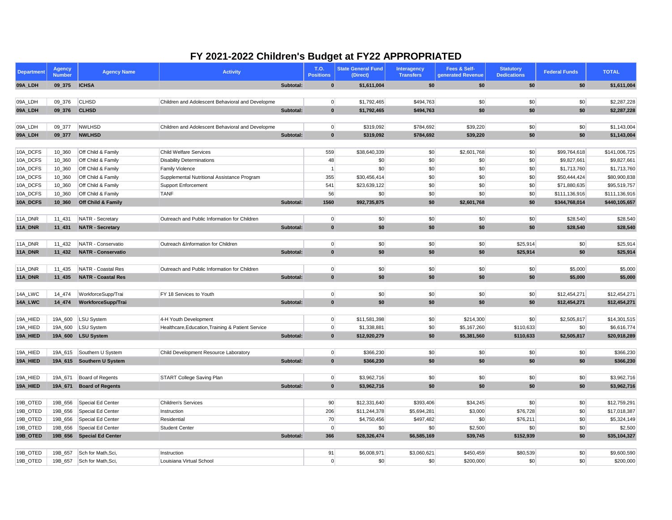| <b>Department</b>  | <b>Agency</b><br><b>Number</b> | <b>Agency Name</b>            | <b>Activity</b>                                   |           | T.O.<br><b>Positions</b> | <b>State General Fund</b><br>(Direct) | Interagency<br><b>Transfers</b> | Fees & Self-<br>generated Revenue | <b>Statutory</b><br><b>Dedications</b> | <b>Federal Funds</b> | <b>TOTAL</b>               |
|--------------------|--------------------------------|-------------------------------|---------------------------------------------------|-----------|--------------------------|---------------------------------------|---------------------------------|-----------------------------------|----------------------------------------|----------------------|----------------------------|
| 09A_LDH            | 09_375                         | <b>ICHSA</b>                  |                                                   | Subtotal: | $\mathbf{0}$             | \$1,611,004                           | \$0                             | \$0                               | \$0                                    | \$0                  | \$1,611,004                |
|                    |                                |                               |                                                   |           |                          |                                       |                                 |                                   |                                        |                      |                            |
| 09A_LDH            | 09 376                         | <b>CLHSD</b>                  | Children and Adolescent Behavioral and Developme  |           | 0                        | \$1,792,465                           | \$494,763                       | \$0                               | \$0                                    | \$0                  | \$2,287,228                |
| 09A_LDH            | 09_376                         | <b>CLHSD</b>                  |                                                   | Subtotal: | $\mathbf{0}$             | \$1,792,465                           | \$494,763                       | \$0                               | \$0                                    | \$0                  | \$2,287,228                |
|                    | 09 377                         | <b>NWLHSD</b>                 | Children and Adolescent Behavioral and Developme  |           |                          |                                       |                                 |                                   |                                        |                      |                            |
| 09A_LDH<br>09A_LDH | 09_377                         | <b>NWLHSD</b>                 |                                                   | Subtotal: | 0 <br>$\mathbf{0}$       | \$319,092<br>\$319,092                | \$784,692<br>\$784,692          | \$39,220<br>\$39,220              | \$0<br>\$0                             | \$0<br>\$0           | \$1,143,004<br>\$1,143,004 |
|                    |                                |                               |                                                   |           |                          |                                       |                                 |                                   |                                        |                      |                            |
| 10A_DCFS           | 10_360                         | Off Child & Family            | <b>Child Welfare Services</b>                     |           | 559                      | \$38,640,339                          | \$0                             | \$2,601,768                       | \$0                                    | \$99,764,618         | \$141,006,725              |
| 10A_DCFS           | 10_360                         | Off Child & Family            | <b>Disability Determinations</b>                  |           | 48                       | \$0                                   | \$0                             | \$0                               | \$0                                    | \$9,827,661          | \$9,827,661                |
| 10A_DCFS           | 10_360                         | Off Child & Family            | <b>Family Violence</b>                            |           |                          | \$0                                   | \$0                             | \$0                               | \$0                                    | \$1,713,760          | \$1,713,760                |
| 10A_DCFS           | 10_360                         | Off Child & Family            | Supplemental Nutritional Assistance Program       |           | 355                      | \$30,456,414                          | \$0                             | \$0                               | \$0                                    | \$50,444,424         | \$80,900,838               |
| 10A_DCFS           | 10_360                         | Off Child & Family            | <b>Support Enforcement</b>                        |           | 541                      | \$23,639,122                          | \$0                             | \$0                               | \$0                                    | \$71,880,635         | \$95,519,757               |
| 10A_DCFS           | 10_360                         | Off Child & Family            | <b>TANF</b>                                       |           | 56                       | \$0                                   | $ 10\rangle$                    | \$0                               | \$0                                    | \$111,136,916        | \$111,136,916              |
| 10A_DCFS           | 10_360                         | <b>Off Child &amp; Family</b> |                                                   | Subtotal: | 1560                     | \$92,735,875                          | \$0                             | \$2,601,768                       | \$0                                    | \$344,768,014        | \$440,105,657              |
|                    |                                |                               |                                                   |           |                          |                                       |                                 |                                   |                                        |                      |                            |
| 11A_DNR            | 11_431                         | NATR - Secretary              | Outreach and Public Information for Children      |           | 0                        | \$0                                   | \$0                             | \$0                               | \$0                                    | \$28,540             | \$28,540                   |
| 11A_DNR            | 11_431                         | <b>NATR - Secretary</b>       |                                                   | Subtotal: | $\mathbf{0}$             | \$0                                   | \$0                             | \$0                               | \$0                                    | \$28,540             | \$28,540                   |
| 11A_DNR            | 11_432                         | NATR - Conservatio            | Outreach &Information for Children                |           | 0                        | \$0                                   | \$0                             | \$0                               | \$25,914                               | \$0                  | \$25,914                   |
| 11A_DNR            | 11_432                         | <b>NATR - Conservatio</b>     |                                                   | Subtotal: | $\mathbf{0}$             | \$0                                   | \$0                             | \$0                               | \$25,914                               | \$0                  | \$25,914                   |
|                    |                                |                               |                                                   |           |                          |                                       |                                 |                                   |                                        |                      |                            |
| 11A_DNR            | 11_435                         | NATR - Coastal Res            | Outreach and Public Information for Children      |           | 0                        | \$0                                   | \$0                             | \$0                               | \$0                                    | \$5,000              | \$5,000                    |
| 11A_DNR            | $11_435$                       | <b>NATR - Coastal Res</b>     |                                                   | Subtotal: | $\mathbf{0}$             | \$0                                   | \$0                             | \$0                               | \$0                                    | \$5,000              | \$5,000                    |
|                    |                                |                               |                                                   |           |                          |                                       |                                 |                                   |                                        |                      |                            |
| 14A_LWC            | 14_474                         | WorkforceSupp/Trai            | FY 18 Services to Youth                           |           | 0                        | \$0                                   | \$0                             | $ 10\rangle$                      | \$0                                    | \$12,454,271         | \$12,454,271               |
| 14A_LWC            | 14 474                         | WorkforceSupp/Trai            |                                                   | Subtotal: | $\mathbf{0}$             | \$0                                   | \$0                             | \$0                               | \$0                                    | \$12,454,271         | \$12,454,271               |
| 19A_HIED           | 19A_600                        | LSU System                    | 4-H Youth Development                             |           | 0                        | \$11,581,398                          | \$0                             | \$214,300                         | \$0                                    | \$2,505,817          | \$14,301,515               |
| 19A_HIED           | 19A 600                        | LSU System                    | Healthcare, Education, Training & Patient Service |           | 0                        | \$1,338,881                           | \$0                             | \$5,167,260                       | \$110,633                              | \$0                  | \$6,616,774                |
| 19A_HIED           | 19A_600                        | <b>LSU System</b>             |                                                   | Subtotal: | $\mathbf{0}$             | \$12,920,279                          | \$0                             | \$5,381,560                       | \$110,633                              | \$2,505,817          | \$20,918,289               |
|                    |                                |                               |                                                   |           |                          |                                       |                                 |                                   |                                        |                      |                            |
| 19A_HIED           |                                | 19A_615 Southern U System     | Child Development Resource Laboratory             |           | 0                        | \$366,230                             | \$0                             | $ 10\rangle$                      | \$0                                    | \$0                  | \$366,230                  |
| 19A_HIED           |                                | 19A_615 Southern U System     |                                                   | Subtotal: | $\mathbf{0}$             | \$366,230                             | \$0                             | \$0                               | \$0                                    | \$0                  | \$366,230                  |
|                    |                                |                               |                                                   |           |                          |                                       |                                 |                                   |                                        |                      |                            |
| 19A_HIED           | 19A_671                        | Board of Regents              | START College Saving Plan                         |           | 0                        | \$3,962,716                           | \$0                             | $\boldsymbol{\$0}$                | \$0                                    | \$0                  | \$3,962,716                |
| 19A_HIED           | 19A_671                        | <b>Board of Regents</b>       |                                                   | Subtotal: | $\mathbf{0}$             | \$3,962,716                           | \$0                             | \$0                               | \$0                                    | \$0                  | \$3,962,716                |
| 19B_OTED           | 19B_656                        | Special Ed Center             | <b>Children's Services</b>                        |           | 90                       | \$12,331,640                          | \$393,406                       | \$34,245                          | \$0                                    | \$0                  | \$12,759,291               |
| 19B_OTED           | 19B_656                        | Special Ed Center             | Instruction                                       |           | 206                      | \$11,244,378                          | \$5,694,281                     | \$3,000                           | \$76,728                               | \$0                  | \$17,018,387               |
| 19B_OTED           | 19B_656                        | Special Ed Center             | Residential                                       |           | 70                       | \$4,750,456                           | \$497,482                       | \$0                               | \$76,211                               | \$0                  | \$5,324,149                |
| 19B_OTED           | 19B_656                        | Special Ed Center             | <b>Student Center</b>                             |           | $\overline{0}$           | \$0                                   | \$0                             | \$2,500                           | \$0                                    | \$0                  | \$2,500                    |
| 19B_OTED           | 19B_656                        | <b>Special Ed Center</b>      |                                                   | Subtotal: | 366                      | \$28,326,474                          | \$6,585,169                     | \$39,745                          | \$152,939                              | \$0                  | \$35,104,327               |
|                    |                                |                               |                                                   |           |                          |                                       |                                 |                                   |                                        |                      |                            |
| 19B_OTED           | 19B_657                        | Sch for Math, Sci,            | Instruction                                       |           | 91                       | \$6,008,971                           | \$3,060,621                     | \$450,459                         | \$80,539                               | \$0                  | \$9,600,590                |
| 19B_OTED           | 19B_657                        | Sch for Math, Sci,            | Louisiana Virtual School                          |           | 0                        | \$0                                   | \$0                             | \$200,000                         | \$0                                    | \$0                  | \$200,000                  |